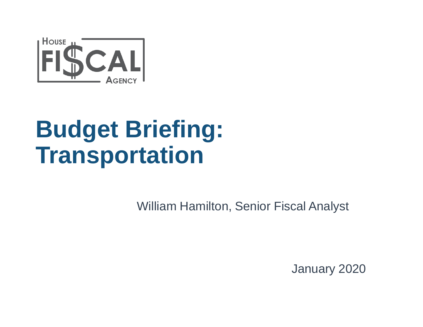

## **Budget Briefing: Transportation**

William Hamilton, Senior Fiscal Analyst

January 2020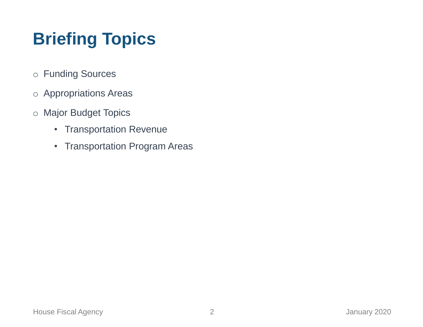## **Briefing Topics**

- o Funding Sources
- o Appropriations Areas
- o Major Budget Topics
	- Transportation Revenue
	- Transportation Program Areas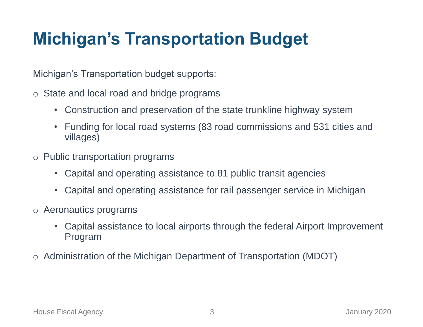### **Michigan's Transportation Budget**

Michigan's Transportation budget supports:

- o State and local road and bridge programs
	- Construction and preservation of the state trunkline highway system
	- Funding for local road systems (83 road commissions and 531 cities and villages)
- o Public transportation programs
	- Capital and operating assistance to 81 public transit agencies
	- Capital and operating assistance for rail passenger service in Michigan
- o Aeronautics programs
	- Capital assistance to local airports through the federal Airport Improvement Program
- o Administration of the Michigan Department of Transportation (MDOT)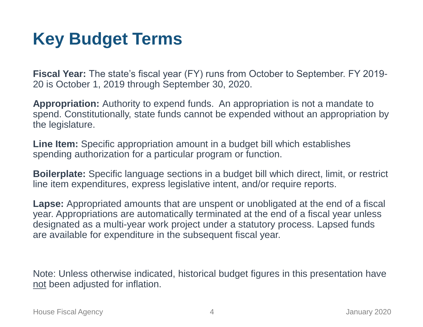### **Key Budget Terms**

**Fiscal Year:** The state's fiscal year (FY) runs from October to September. FY 2019- 20 is October 1, 2019 through September 30, 2020.

**Appropriation:** Authority to expend funds. An appropriation is not a mandate to spend. Constitutionally, state funds cannot be expended without an appropriation by the legislature.

**Line Item:** Specific appropriation amount in a budget bill which establishes spending authorization for a particular program or function.

**Boilerplate:** Specific language sections in a budget bill which direct, limit, or restrict line item expenditures, express legislative intent, and/or require reports.

**Lapse:** Appropriated amounts that are unspent or unobligated at the end of a fiscal year. Appropriations are automatically terminated at the end of a fiscal year unless designated as a multi-year work project under a statutory process. Lapsed funds are available for expenditure in the subsequent fiscal year.

Note: Unless otherwise indicated, historical budget figures in this presentation have not been adjusted for inflation.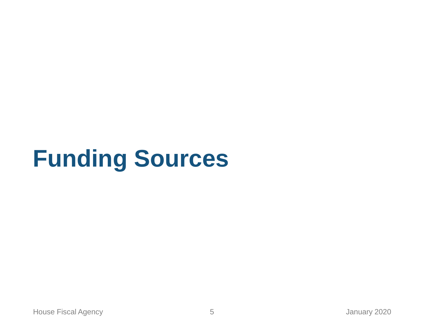# **Funding Sources**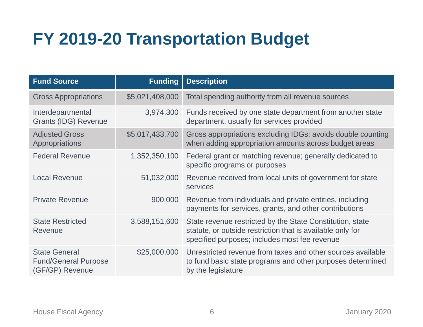## **FY 2019-20 Transportation Budget**

| <b>Fund Source</b>                                                     | <b>Funding</b>  | <b>Description</b>                                                                                                                                                       |  |  |  |
|------------------------------------------------------------------------|-----------------|--------------------------------------------------------------------------------------------------------------------------------------------------------------------------|--|--|--|
| <b>Gross Appropriations</b>                                            | \$5,021,408,000 | Total spending authority from all revenue sources                                                                                                                        |  |  |  |
| Interdepartmental<br><b>Grants (IDG) Revenue</b>                       | 3,974,300       | Funds received by one state department from another state<br>department, usually for services provided                                                                   |  |  |  |
| <b>Adjusted Gross</b><br>Appropriations                                | \$5,017,433,700 | Gross appropriations excluding IDGs; avoids double counting<br>when adding appropriation amounts across budget areas                                                     |  |  |  |
| <b>Federal Revenue</b>                                                 | 1,352,350,100   | Federal grant or matching revenue; generally dedicated to<br>specific programs or purposes                                                                               |  |  |  |
| <b>Local Revenue</b>                                                   | 51,032,000      | Revenue received from local units of government for state<br>services                                                                                                    |  |  |  |
| <b>Private Revenue</b>                                                 | 900,000         | Revenue from individuals and private entities, including<br>payments for services, grants, and other contributions                                                       |  |  |  |
| <b>State Restricted</b><br>Revenue                                     | 3,588,151,600   | State revenue restricted by the State Constitution, state<br>statute, or outside restriction that is available only for<br>specified purposes; includes most fee revenue |  |  |  |
| <b>State General</b><br><b>Fund/General Purpose</b><br>(GF/GP) Revenue | \$25,000,000    | Unrestricted revenue from taxes and other sources available<br>to fund basic state programs and other purposes determined<br>by the legislature                          |  |  |  |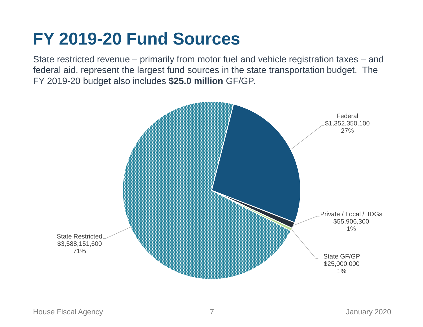#### **FY 2019-20 Fund Sources**

State restricted revenue – primarily from motor fuel and vehicle registration taxes – and federal aid, represent the largest fund sources in the state transportation budget. The FY 2019-20 budget also includes **\$25.0 million** GF/GP.

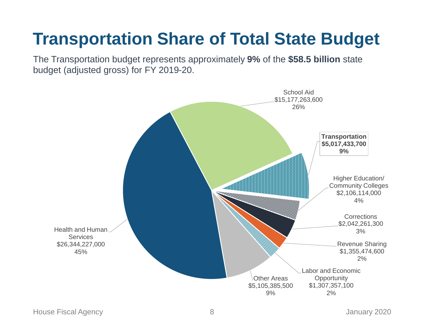## **Transportation Share of Total State Budget**

The Transportation budget represents approximately **9%** of the **\$58.5 billion** state budget (adjusted gross) for FY 2019-20.

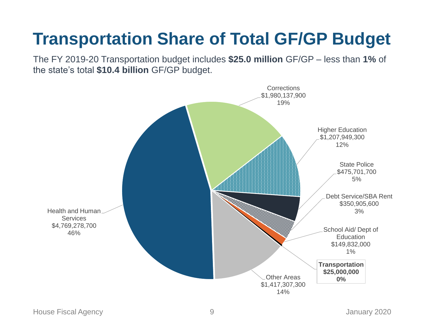## **Transportation Share of Total GF/GP Budget**

The FY 2019-20 Transportation budget includes **\$25.0 million** GF/GP – less than **1%** of the state's total **\$10.4 billion** GF/GP budget.

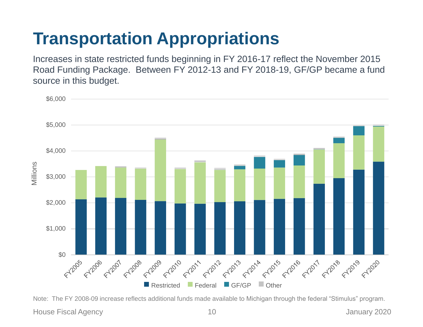## **Transportation Appropriations**

Increases in state restricted funds beginning in FY 2016-17 reflect the November 2015 Road Funding Package. Between FY 2012-13 and FY 2018-19, GF/GP became a fund source in this budget.



Note: The FY 2008-09 increase reflects additional funds made available to Michigan through the federal "Stimulus" program.

House Fiscal Agency 10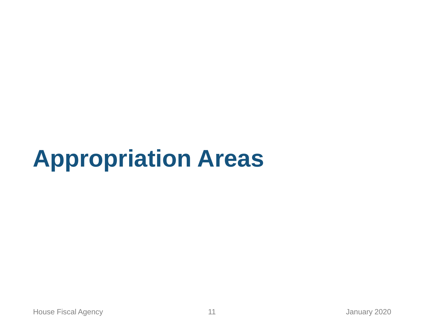# **Appropriation Areas**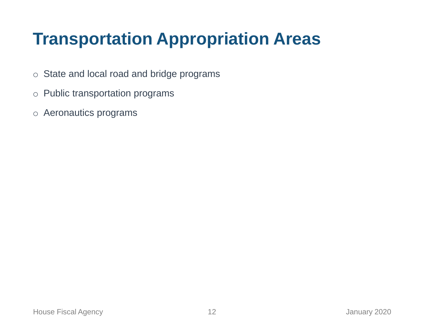### **Transportation Appropriation Areas**

- o State and local road and bridge programs
- o Public transportation programs
- o Aeronautics programs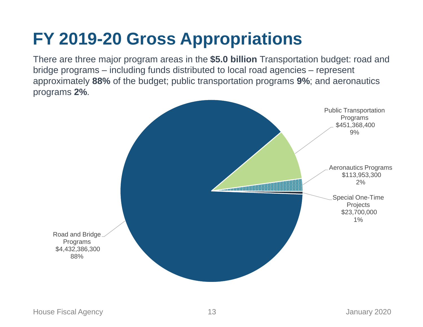#### **FY 2019-20 Gross Appropriations**

There are three major program areas in the **\$5.0 billion** Transportation budget: road and bridge programs – including funds distributed to local road agencies – represent approximately **88%** of the budget; public transportation programs **9%**; and aeronautics programs **2%**.

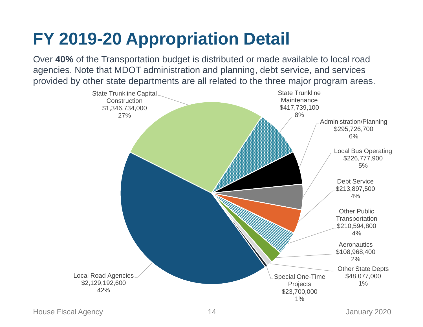## **FY 2019-20 Appropriation Detail**

Over **40%** of the Transportation budget is distributed or made available to local road agencies. Note that MDOT administration and planning, debt service, and services provided by other state departments are all related to the three major program areas.

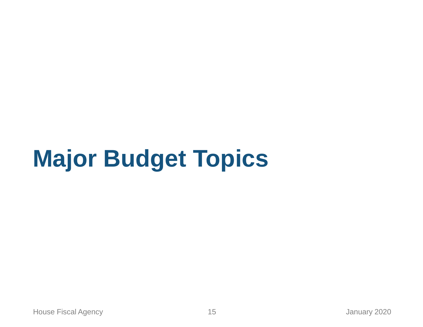# **Major Budget Topics**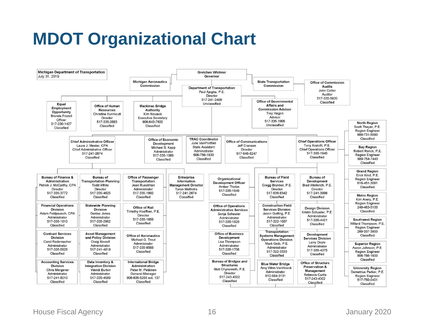### **MDOT Organizational Chart**

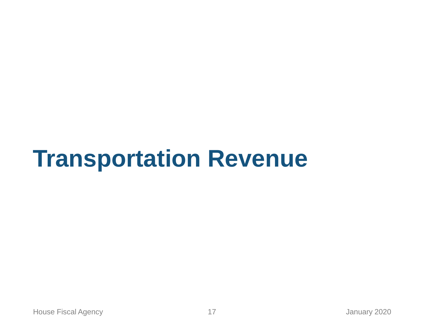## **Transportation Revenue**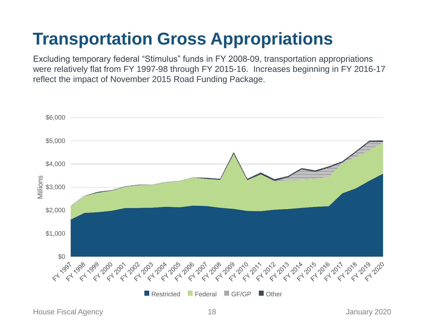## **Transportation Gross Appropriations**

Excluding temporary federal "Stimulus" funds in FY 2008-09, transportation appropriations were relatively flat from FY 1997-98 through FY 2015-16. Increases beginning in FY 2016-17 reflect the impact of November 2015 Road Funding Package.



House Fiscal Agency 18 January 2020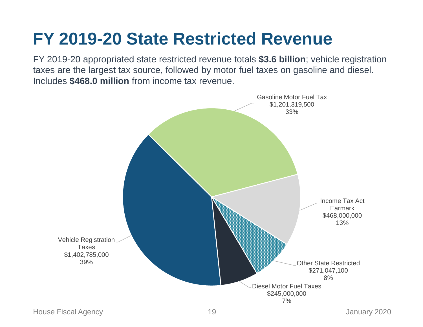#### **FY 2019-20 State Restricted Revenue**

FY 2019-20 appropriated state restricted revenue totals **\$3.6 billion**; vehicle registration taxes are the largest tax source, followed by motor fuel taxes on gasoline and diesel. Includes **\$468.0 million** from income tax revenue.

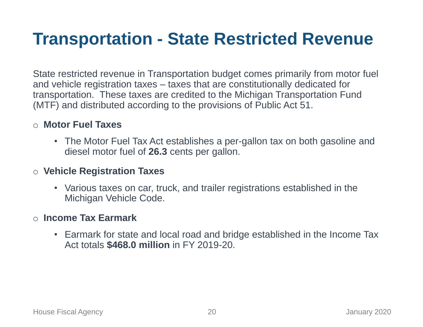#### **Transportation - State Restricted Revenue**

State restricted revenue in Transportation budget comes primarily from motor fuel and vehicle registration taxes – taxes that are constitutionally dedicated for transportation. These taxes are credited to the Michigan Transportation Fund (MTF) and distributed according to the provisions of Public Act 51.

#### o **Motor Fuel Taxes**

• The Motor Fuel Tax Act establishes a per-gallon tax on both gasoline and diesel motor fuel of **26.3** cents per gallon.

#### o **Vehicle Registration Taxes**

• Various taxes on car, truck, and trailer registrations established in the Michigan Vehicle Code.

#### o **Income Tax Earmark**

• Earmark for state and local road and bridge established in the Income Tax Act totals **\$468.0 million** in FY 2019-20.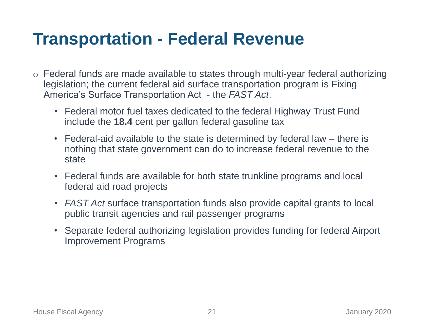#### **Transportation - Federal Revenue**

- o Federal funds are made available to states through multi-year federal authorizing legislation; the current federal aid surface transportation program is Fixing America's Surface Transportation Act - the *FAST Act*.
	- Federal motor fuel taxes dedicated to the federal Highway Trust Fund include the **18.4** cent per gallon federal gasoline tax
	- Federal-aid available to the state is determined by federal law there is nothing that state government can do to increase federal revenue to the state
	- Federal funds are available for both state trunkline programs and local federal aid road projects
	- *FAST Act* surface transportation funds also provide capital grants to local public transit agencies and rail passenger programs
	- Separate federal authorizing legislation provides funding for federal Airport Improvement Programs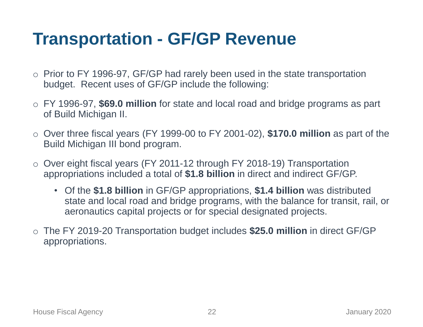#### **Transportation - GF/GP Revenue**

- o Prior to FY 1996-97, GF/GP had rarely been used in the state transportation budget. Recent uses of GF/GP include the following:
- o FY 1996-97, **\$69.0 million** for state and local road and bridge programs as part of Build Michigan II.
- o Over three fiscal years (FY 1999-00 to FY 2001-02), **\$170.0 million** as part of the Build Michigan III bond program.
- Over eight fiscal years (FY 2011-12 through FY 2018-19) Transportation appropriations included a total of **\$1.8 billion** in direct and indirect GF/GP.
	- Of the **\$1.8 billion** in GF/GP appropriations, **\$1.4 billion** was distributed state and local road and bridge programs, with the balance for transit, rail, or aeronautics capital projects or for special designated projects.
- o The FY 2019-20 Transportation budget includes **\$25.0 million** in direct GF/GP appropriations.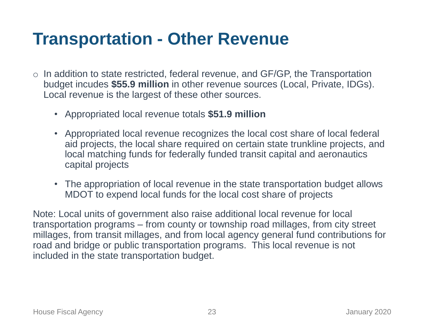#### **Transportation - Other Revenue**

- $\circ$  In addition to state restricted, federal revenue, and GF/GP, the Transportation budget incudes **\$55.9 million** in other revenue sources (Local, Private, IDGs). Local revenue is the largest of these other sources.
	- Appropriated local revenue totals **\$51.9 million**
	- Appropriated local revenue recognizes the local cost share of local federal aid projects, the local share required on certain state trunkline projects, and local matching funds for federally funded transit capital and aeronautics capital projects
	- The appropriation of local revenue in the state transportation budget allows MDOT to expend local funds for the local cost share of projects

Note: Local units of government also raise additional local revenue for local transportation programs – from county or township road millages, from city street millages, from transit millages, and from local agency general fund contributions for road and bridge or public transportation programs. This local revenue is not included in the state transportation budget.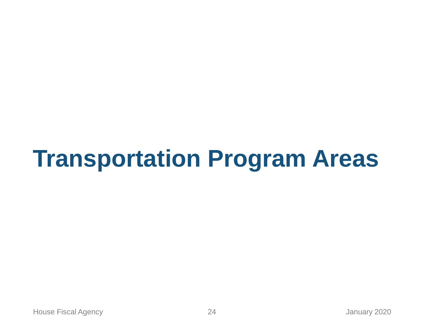# **Transportation Program Areas**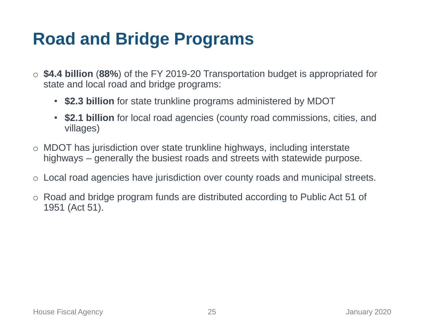#### **Road and Bridge Programs**

- o **\$4.4 billion** (**88%**) of the FY 2019-20 Transportation budget is appropriated for state and local road and bridge programs:
	- **\$2.3 billion** for state trunkline programs administered by MDOT
	- **\$2.1 billion** for local road agencies (county road commissions, cities, and villages)
- o MDOT has jurisdiction over state trunkline highways, including interstate highways – generally the busiest roads and streets with statewide purpose.
- o Local road agencies have jurisdiction over county roads and municipal streets.
- o Road and bridge program funds are distributed according to Public Act 51 of 1951 (Act 51).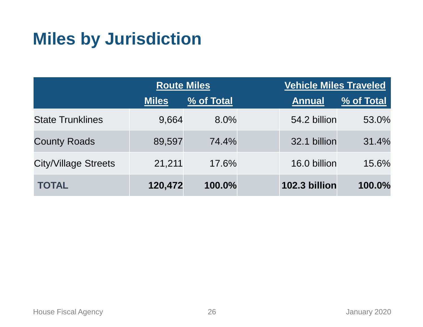#### **Miles by Jurisdiction**

|                             | <b>Route Miles</b> |            |  | <b>Vehicle Miles Traveled</b> |            |  |
|-----------------------------|--------------------|------------|--|-------------------------------|------------|--|
|                             | <b>Miles</b>       | % of Total |  | <b>Annual</b>                 | % of Total |  |
| <b>State Trunklines</b>     | 9,664              | 8.0%       |  | 54.2 billion                  | 53.0%      |  |
| <b>County Roads</b>         | 89,597             | 74.4%      |  | 32.1 billion                  | 31.4%      |  |
| <b>City/Village Streets</b> | 21,211             | 17.6%      |  | 16.0 billion                  | 15.6%      |  |
| <b>TOTAL</b>                | 120,472            | 100.0%     |  | 102.3 billion                 | 100.0%     |  |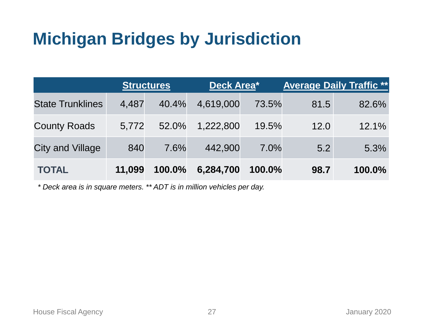#### **Michigan Bridges by Jurisdiction**

|                         | <b>Structures</b> |        | Deck Area* |        | <b>Average Daily Traffic **</b> |        |
|-------------------------|-------------------|--------|------------|--------|---------------------------------|--------|
| <b>State Trunklines</b> | 4,487             | 40.4%  | 4,619,000  | 73.5%  | 81.5                            | 82.6%  |
| <b>County Roads</b>     | 5,772             | 52.0%  | 1,222,800  | 19.5%  | 12.0                            | 12.1%  |
| <b>City and Village</b> | 840               | 7.6%   | 442,900    | 7.0%   | 5.2                             | 5.3%   |
| <b>TOTAL</b>            | 11,099            | 100.0% | 6,284,700  | 100.0% | 98.7                            | 100.0% |

*\* Deck area is in square meters. \*\* ADT is in million vehicles per day.*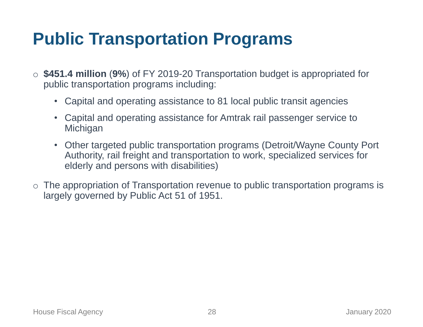#### **Public Transportation Programs**

- o **\$451.4 million** (**9%**) of FY 2019-20 Transportation budget is appropriated for public transportation programs including:
	- Capital and operating assistance to 81 local public transit agencies
	- Capital and operating assistance for Amtrak rail passenger service to **Michigan**
	- Other targeted public transportation programs (Detroit/Wayne County Port Authority, rail freight and transportation to work, specialized services for elderly and persons with disabilities)
- o The appropriation of Transportation revenue to public transportation programs is largely governed by Public Act 51 of 1951.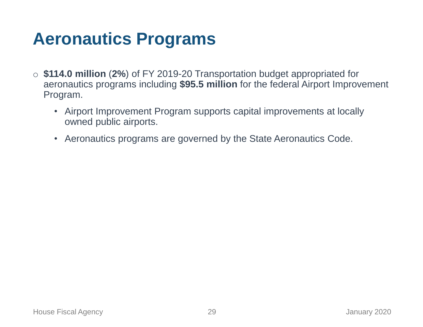#### **Aeronautics Programs**

- o **\$114.0 million** (**2%**) of FY 2019-20 Transportation budget appropriated for aeronautics programs including **\$95.5 million** for the federal Airport Improvement Program.
	- Airport Improvement Program supports capital improvements at locally owned public airports.
	- Aeronautics programs are governed by the State Aeronautics Code.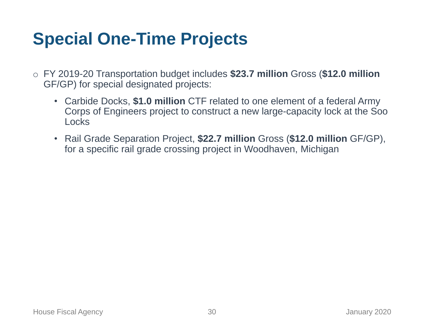#### **Special One-Time Projects**

- o FY 2019-20 Transportation budget includes **\$23.7 million** Gross (**\$12.0 million**  GF/GP) for special designated projects:
	- Carbide Docks, **\$1.0 million** CTF related to one element of a federal Army Corps of Engineers project to construct a new large-capacity lock at the Soo **Locks**
	- Rail Grade Separation Project, **\$22.7 million** Gross (**\$12.0 million** GF/GP), for a specific rail grade crossing project in Woodhaven, Michigan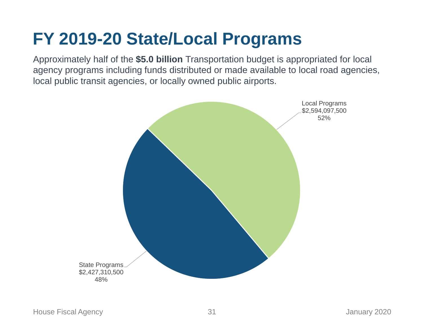#### **FY 2019-20 State/Local Programs**

Approximately half of the **\$5.0 billion** Transportation budget is appropriated for local agency programs including funds distributed or made available to local road agencies, local public transit agencies, or locally owned public airports.

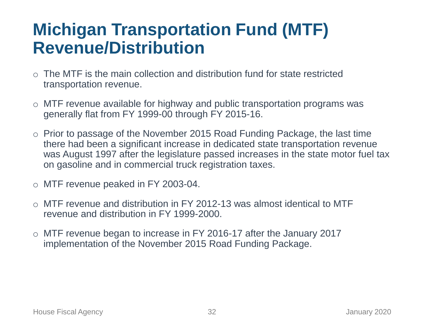#### **Michigan Transportation Fund (MTF) Revenue/Distribution**

- $\circ$  The MTF is the main collection and distribution fund for state restricted transportation revenue.
- o MTF revenue available for highway and public transportation programs was generally flat from FY 1999-00 through FY 2015-16.
- o Prior to passage of the November 2015 Road Funding Package, the last time there had been a significant increase in dedicated state transportation revenue was August 1997 after the legislature passed increases in the state motor fuel tax on gasoline and in commercial truck registration taxes.
- o MTF revenue peaked in FY 2003-04.
- $\circ$  MTF revenue and distribution in FY 2012-13 was almost identical to MTF revenue and distribution in FY 1999-2000.
- MTF revenue began to increase in FY 2016-17 after the January 2017 implementation of the November 2015 Road Funding Package.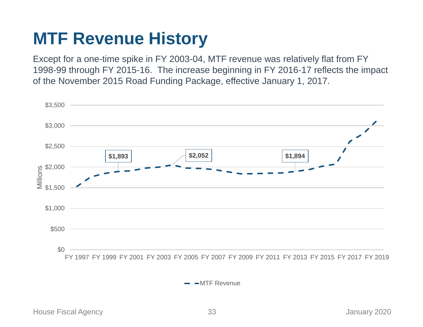#### **MTF Revenue History**

Except for a one-time spike in FY 2003-04, MTF revenue was relatively flat from FY 1998-99 through FY 2015-16. The increase beginning in FY 2016-17 reflects the impact of the November 2015 Road Funding Package, effective January 1, 2017.



 $\rightarrow$   $\rightarrow$  MTF Revenue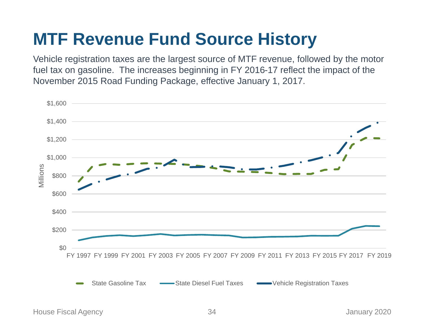#### **MTF Revenue Fund Source History**

Vehicle registration taxes are the largest source of MTF revenue, followed by the motor fuel tax on gasoline. The increases beginning in FY 2016-17 reflect the impact of the November 2015 Road Funding Package, effective January 1, 2017.

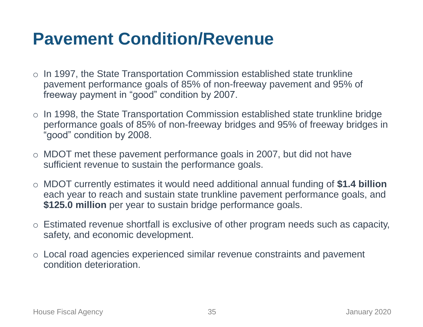#### **Pavement Condition/Revenue**

- o In 1997, the State Transportation Commission established state trunkline pavement performance goals of 85% of non-freeway pavement and 95% of freeway payment in "good" condition by 2007.
- o In 1998, the State Transportation Commission established state trunkline bridge performance goals of 85% of non-freeway bridges and 95% of freeway bridges in "good" condition by 2008.
- o MDOT met these pavement performance goals in 2007, but did not have sufficient revenue to sustain the performance goals.
- o MDOT currently estimates it would need additional annual funding of **\$1.4 billion**  each year to reach and sustain state trunkline pavement performance goals, and **\$125.0 million** per year to sustain bridge performance goals.
- o Estimated revenue shortfall is exclusive of other program needs such as capacity, safety, and economic development.
- o Local road agencies experienced similar revenue constraints and pavement condition deterioration.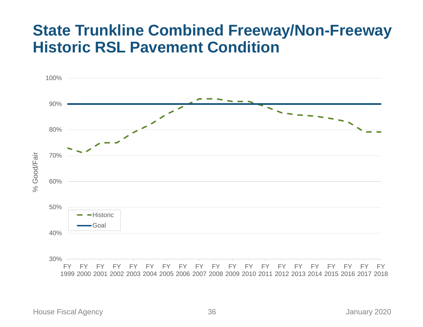#### **State Trunkline Combined Freeway/Non-Freeway Historic RSL Pavement Condition**

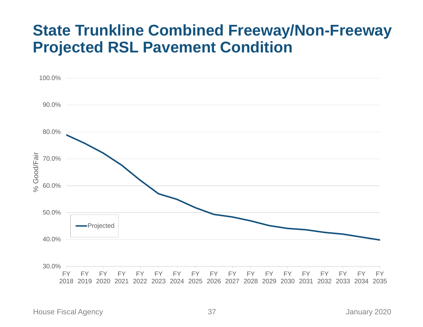#### **State Trunkline Combined Freeway/Non-Freeway Projected RSL Pavement Condition**



House Fiscal Agency 37 January 2020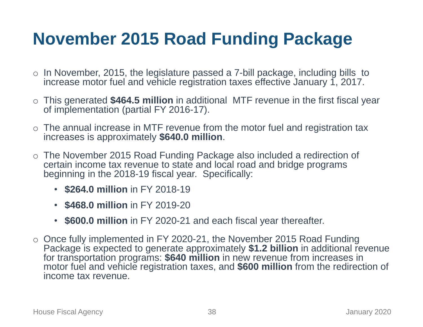#### **November 2015 Road Funding Package**

- o In November, 2015, the legislature passed a 7-bill package, including bills to increase motor fuel and vehicle registration taxes effective January 1, 2017.
- o This generated **\$464.5 million** in additional MTF revenue in the first fiscal year of implementation (partial FY 2016-17).
- $\circ$  The annual increase in MTF revenue from the motor fuel and registration tax increases is approximately **\$640.0 million**.
- o The November 2015 Road Funding Package also included a redirection of certain income tax revenue to state and local road and bridge programs beginning in the 2018-19 fiscal year. Specifically:
	- **\$264.0 million** in FY 2018-19
	- **\$468.0 million** in FY 2019-20
	- **\$600.0 million** in FY 2020-21 and each fiscal year thereafter.
- $\circ$  Once fully implemented in FY 2020-21, the November 2015 Road Funding Package is expected to generate approximately **\$1.2 billion** in additional revenue for transportation programs: **\$640 million** in new revenue from increases in motor fuel and vehicle registration taxes, and **\$600 million** from the redirection of income tax revenue.